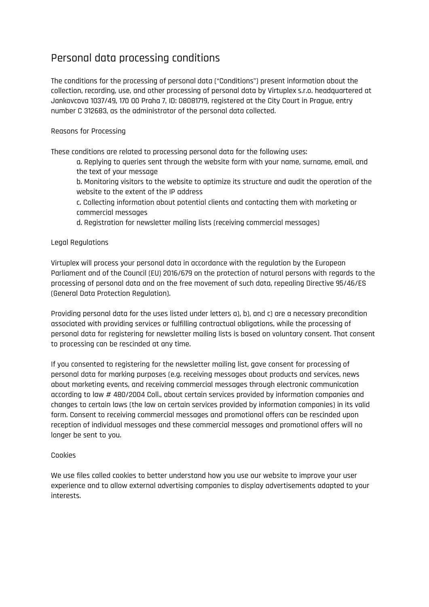# Personal data processing conditions

The conditions for the processing of personal data ("Conditions") present information about the collection, recording, use, and other processing of personal data by Virtuplex s.r.o. headquartered at Jankovcova 1037/49, 170 00 Praha 7, ID: 08081719, registered at the City Court in Prague, entry number C 312683, as the administrator of the personal data collected.

# Reasons for Processing

These conditions are related to processing personal data for the following uses:

a. Replying to queries sent through the website form with your name, surname, email, and the text of your message

b. Monitoring visitors to the website to optimize its structure and audit the operation of the website to the extent of the IP address

c. Collecting information about potential clients and contacting them with marketing or commercial messages

d. Registration for newsletter mailing lists (receiving commercial messages)

# Legal Regulations

Virtuplex will process your personal data in accordance with the regulation by the European Parliament and of the Council (EU) 2016/679 on the protection of natural persons with regards to the processing of personal data and on the free movement of such data, repealing Directive 95/46/ES (General Data Protection Regulation).

Providing personal data for the uses listed under letters a), b), and c) are a necessary precondition associated with providing services or fulfilling contractual obligations, while the processing of personal data for registering for newsletter mailing lists is based on voluntary consent. That consent to processing can be rescinded at any time.

If you consented to registering for the newsletter mailing list, gave consent for processing of personal data for marking purposes (e.g. receiving messages about products and services, news about marketing events, and receiving commercial messages through electronic communication according to law # 480/2004 Coll., about certain services provided by information companies and changes to certain laws (the law on certain services provided by information companies) in its valid form. Consent to receiving commercial messages and promotional offers can be rescinded upon reception of individual messages and these commercial messages and promotional offers will no longer be sent to you.

# Cookies

We use files called cookies to better understand how you use our website to improve your user experience and to allow external advertising companies to display advertisements adapted to your interests.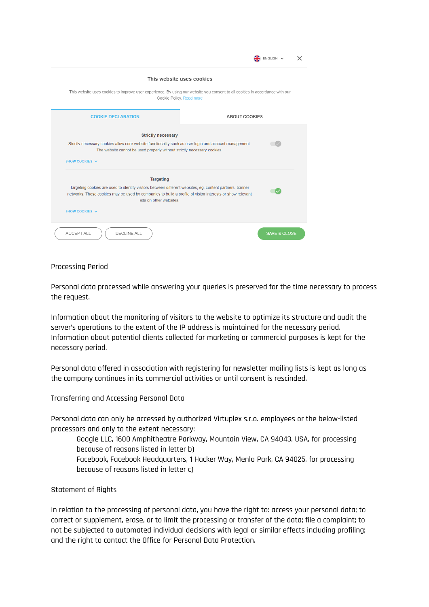|                                                                                                                                                                                                                                                                                      | ENGLISH V               |  |
|--------------------------------------------------------------------------------------------------------------------------------------------------------------------------------------------------------------------------------------------------------------------------------------|-------------------------|--|
| This website uses cookies                                                                                                                                                                                                                                                            |                         |  |
| This website uses cookies to improve user experience. By using our website you consent to all cookies in accordance with our<br>Cookie Policy. Read more                                                                                                                             |                         |  |
| <b>COOKIE DECLARATION</b><br><b>ABOUT COOKIES</b>                                                                                                                                                                                                                                    |                         |  |
| <b>Strictly necessary</b><br>Strictly necessary cookies allow core website functionality such as user login and account management.<br>The website cannot be used properly without strictly necessary cookies.<br>SHOW COOKIES $\vee$                                                |                         |  |
| <b>Targeting</b><br>Targeting cookies are used to identify visitors between different websites, eg. content partners, banner<br>networks. Those cookies may be used by companies to build a profile of visitor interests or show relevant<br>ads on other websites<br>SHOW COOKIES V |                         |  |
| ACCEPT ALL<br><b>DECLINE ALL</b>                                                                                                                                                                                                                                                     | <b>SAVE &amp; CLOSE</b> |  |

#### Processing Period

Personal data processed while answering your queries is preserved for the time necessary to process the request.

Information about the monitoring of visitors to the website to optimize its structure and audit the server's operations to the extent of the IP address is maintained for the necessary period. Information about potential clients collected for marketing or commercial purposes is kept for the necessary period.

Personal data offered in association with registering for newsletter mailing lists is kept as long as the company continues in its commercial activities or until consent is rescinded.

Transferring and Accessing Personal Data

Personal data can only be accessed by authorized Virtuplex s.r.o. employees or the below-listed processors and only to the extent necessary:

Google LLC, 1600 Amphitheatre Parkway, Mountain View, CA 94043, USA, for processing because of reasons listed in letter b) Facebook, Facebook Headquarters, 1 Hacker Way, Menlo Park, CA 94025, for processing because of reasons listed in letter c)

#### Statement of Rights

In relation to the processing of personal data, you have the right to: access your personal data; to correct or supplement, erase, or to limit the processing or transfer of the data; file a complaint; to not be subjected to automated individual decisions with legal or similar effects including profiling; and the right to contact the Office for Personal Data Protection.